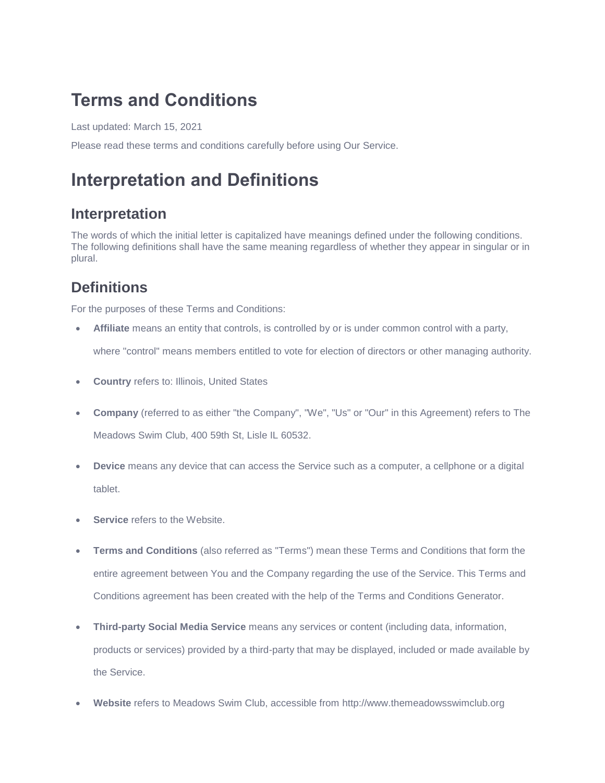## **Terms and Conditions**

Last updated: March 15, 2021

Please read these terms and conditions carefully before using Our Service.

# **Interpretation and Definitions**

#### **Interpretation**

The words of which the initial letter is capitalized have meanings defined under the following conditions. The following definitions shall have the same meaning regardless of whether they appear in singular or in plural.

#### **Definitions**

For the purposes of these Terms and Conditions:

**Affiliate** means an entity that controls, is controlled by or is under common control with a party,

where "control" means members entitled to vote for election of directors or other managing authority.

- **Country** refers to: Illinois, United States
- **Company** (referred to as either "the Company", "We", "Us" or "Our" in this Agreement) refers to The Meadows Swim Club, 400 59th St, Lisle IL 60532.
- **Device** means any device that can access the Service such as a computer, a cellphone or a digital tablet.
- **Service** refers to the Website.
- **Terms and Conditions** (also referred as "Terms") mean these Terms and Conditions that form the entire agreement between You and the Company regarding the use of the Service. This Terms and Conditions agreement has been created with the help of the [Terms and Conditions Generator.](https://www.privacypolicies.com/terms-conditions-generator/)
- **Third-party Social Media Service** means any services or content (including data, information, products or services) provided by a third-party that may be displayed, included or made available by the Service.
- **Website** refers to Meadows Swim Club, accessible from [http://www.themeadowsswimclub.org](http://www.themeadowsswimclub.org/)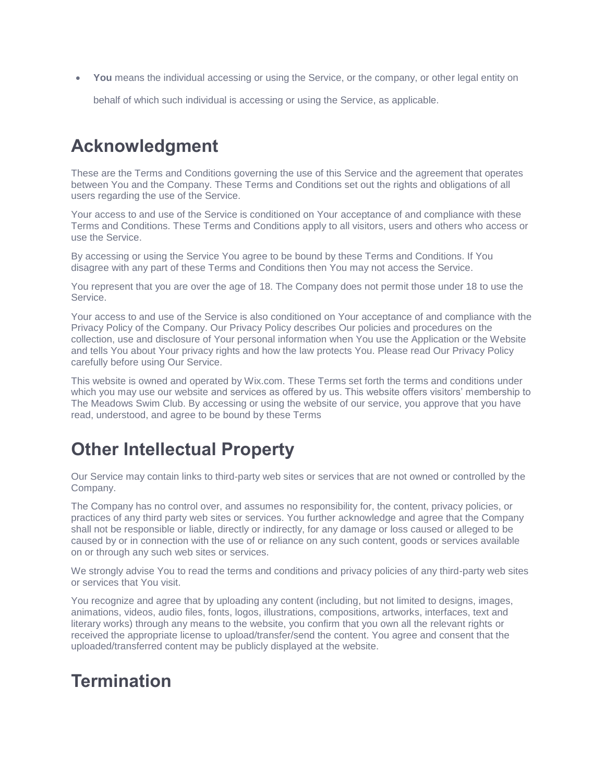**You** means the individual accessing or using the Service, or the company, or other legal entity on

behalf of which such individual is accessing or using the Service, as applicable.

## **Acknowledgment**

These are the Terms and Conditions governing the use of this Service and the agreement that operates between You and the Company. These Terms and Conditions set out the rights and obligations of all users regarding the use of the Service.

Your access to and use of the Service is conditioned on Your acceptance of and compliance with these Terms and Conditions. These Terms and Conditions apply to all visitors, users and others who access or use the Service.

By accessing or using the Service You agree to be bound by these Terms and Conditions. If You disagree with any part of these Terms and Conditions then You may not access the Service.

You represent that you are over the age of 18. The Company does not permit those under 18 to use the Service.

Your access to and use of the Service is also conditioned on Your acceptance of and compliance with the Privacy Policy of the Company. Our Privacy Policy describes Our policies and procedures on the collection, use and disclosure of Your personal information when You use the Application or the Website and tells You about Your privacy rights and how the law protects You. Please read Our Privacy Policy carefully before using Our Service.

This website is owned and operated by Wix.com. These Terms set forth the terms and conditions under which you may use our website and services as offered by us. This website offers visitors' membership to The Meadows Swim Club. By accessing or using the website of our service, you approve that you have read, understood, and agree to be bound by these Terms

## **Other Intellectual Property**

Our Service may contain links to third-party web sites or services that are not owned or controlled by the Company.

The Company has no control over, and assumes no responsibility for, the content, privacy policies, or practices of any third party web sites or services. You further acknowledge and agree that the Company shall not be responsible or liable, directly or indirectly, for any damage or loss caused or alleged to be caused by or in connection with the use of or reliance on any such content, goods or services available on or through any such web sites or services.

We strongly advise You to read the terms and conditions and privacy policies of any third-party web sites or services that You visit.

You recognize and agree that by uploading any content (including, but not limited to designs, images, animations, videos, audio files, fonts, logos, illustrations, compositions, artworks, interfaces, text and literary works) through any means to the website, you confirm that you own all the relevant rights or received the appropriate license to upload/transfer/send the content. You agree and consent that the uploaded/transferred content may be publicly displayed at the website.

## **Termination**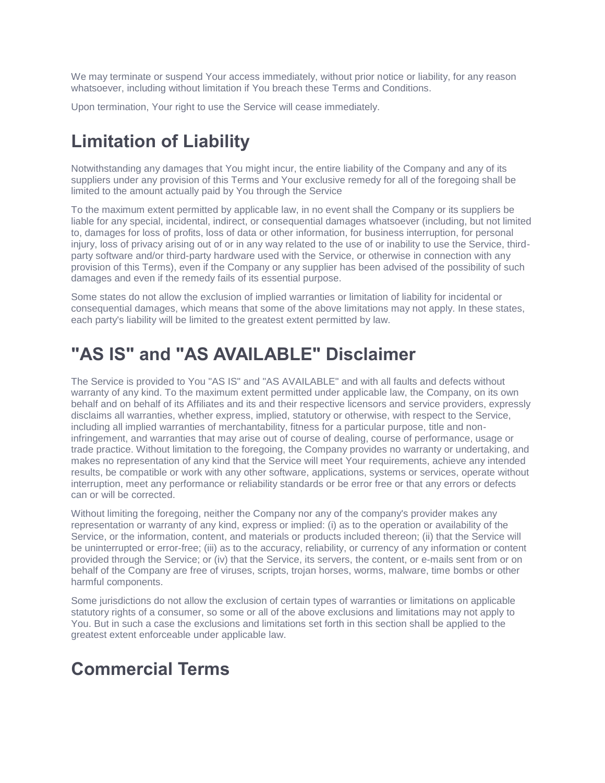We may terminate or suspend Your access immediately, without prior notice or liability, for any reason whatsoever, including without limitation if You breach these Terms and Conditions.

Upon termination, Your right to use the Service will cease immediately.

## **Limitation of Liability**

Notwithstanding any damages that You might incur, the entire liability of the Company and any of its suppliers under any provision of this Terms and Your exclusive remedy for all of the foregoing shall be limited to the amount actually paid by You through the Service

To the maximum extent permitted by applicable law, in no event shall the Company or its suppliers be liable for any special, incidental, indirect, or consequential damages whatsoever (including, but not limited to, damages for loss of profits, loss of data or other information, for business interruption, for personal injury, loss of privacy arising out of or in any way related to the use of or inability to use the Service, thirdparty software and/or third-party hardware used with the Service, or otherwise in connection with any provision of this Terms), even if the Company or any supplier has been advised of the possibility of such damages and even if the remedy fails of its essential purpose.

Some states do not allow the exclusion of implied warranties or limitation of liability for incidental or consequential damages, which means that some of the above limitations may not apply. In these states, each party's liability will be limited to the greatest extent permitted by law.

## **"AS IS" and "AS AVAILABLE" Disclaimer**

The Service is provided to You "AS IS" and "AS AVAILABLE" and with all faults and defects without warranty of any kind. To the maximum extent permitted under applicable law, the Company, on its own behalf and on behalf of its Affiliates and its and their respective licensors and service providers, expressly disclaims all warranties, whether express, implied, statutory or otherwise, with respect to the Service, including all implied warranties of merchantability, fitness for a particular purpose, title and noninfringement, and warranties that may arise out of course of dealing, course of performance, usage or trade practice. Without limitation to the foregoing, the Company provides no warranty or undertaking, and makes no representation of any kind that the Service will meet Your requirements, achieve any intended results, be compatible or work with any other software, applications, systems or services, operate without interruption, meet any performance or reliability standards or be error free or that any errors or defects can or will be corrected.

Without limiting the foregoing, neither the Company nor any of the company's provider makes any representation or warranty of any kind, express or implied: (i) as to the operation or availability of the Service, or the information, content, and materials or products included thereon; (ii) that the Service will be uninterrupted or error-free; (iii) as to the accuracy, reliability, or currency of any information or content provided through the Service; or (iv) that the Service, its servers, the content, or e-mails sent from or on behalf of the Company are free of viruses, scripts, trojan horses, worms, malware, time bombs or other harmful components.

Some jurisdictions do not allow the exclusion of certain types of warranties or limitations on applicable statutory rights of a consumer, so some or all of the above exclusions and limitations may not apply to You. But in such a case the exclusions and limitations set forth in this section shall be applied to the greatest extent enforceable under applicable law.

## **Commercial Terms**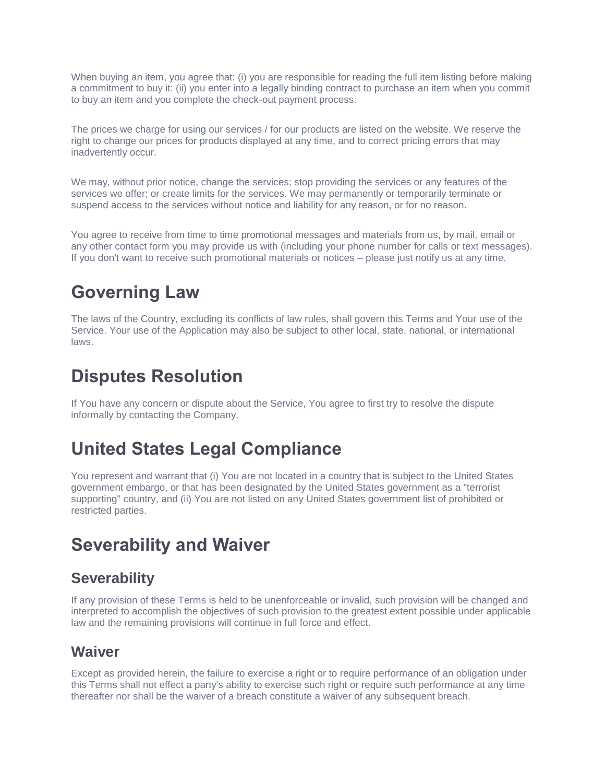When buying an item, you agree that: (i) you are responsible for reading the full item listing before making a commitment to buy it: (ii) you enter into a legally binding contract to purchase an item when you commit to buy an item and you complete the check-out payment process.

The prices we charge for using our services / for our products are listed on the website. We reserve the right to change our prices for products displayed at any time, and to correct pricing errors that may inadvertently occur.

We may, without prior notice, change the services; stop providing the services or any features of the services we offer; or create limits for the services. We may permanently or temporarily terminate or suspend access to the services without notice and liability for any reason, or for no reason.

You agree to receive from time to time promotional messages and materials from us, by mail, email or any other contact form you may provide us with (including your phone number for calls or text messages). If you don't want to receive such promotional materials or notices – please just notify us at any time.

# **Governing Law**

The laws of the Country, excluding its conflicts of law rules, shall govern this Terms and Your use of the Service. Your use of the Application may also be subject to other local, state, national, or international laws.

### **Disputes Resolution**

If You have any concern or dispute about the Service, You agree to first try to resolve the dispute informally by contacting the Company.

## **United States Legal Compliance**

You represent and warrant that (i) You are not located in a country that is subject to the United States government embargo, or that has been designated by the United States government as a "terrorist supporting" country, and (ii) You are not listed on any United States government list of prohibited or restricted parties.

### **Severability and Waiver**

#### **Severability**

If any provision of these Terms is held to be unenforceable or invalid, such provision will be changed and interpreted to accomplish the objectives of such provision to the greatest extent possible under applicable law and the remaining provisions will continue in full force and effect.

#### **Waiver**

Except as provided herein, the failure to exercise a right or to require performance of an obligation under this Terms shall not effect a party's ability to exercise such right or require such performance at any time thereafter nor shall be the waiver of a breach constitute a waiver of any subsequent breach.